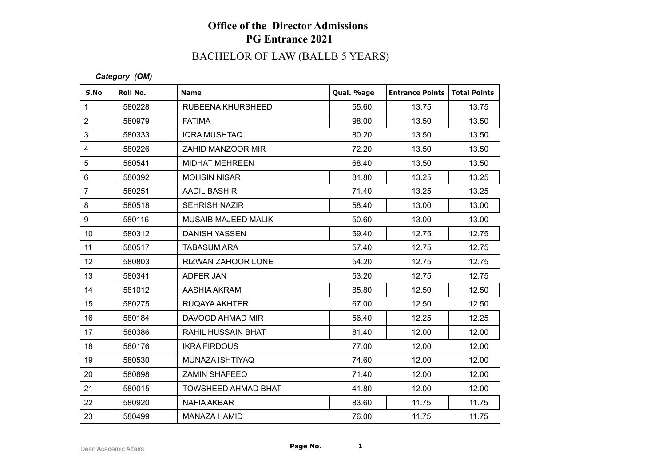## **Office of the Director Admissions PG Entrance 2021**

# BACHELOR OF LAW (BALLB 5 YEARS)

#### *Category (OM)*

| S.No                    | Roll No. | <b>Name</b>                | Qual. %age | <b>Entrance Points</b> | <b>Total Points</b> |
|-------------------------|----------|----------------------------|------------|------------------------|---------------------|
| $\mathbf{1}$            | 580228   | RUBEENA KHURSHEED          | 55.60      | 13.75                  | 13.75               |
| $\overline{2}$          | 580979   | <b>FATIMA</b>              | 98.00      | 13.50                  | 13.50               |
| 3                       | 580333   | <b>IQRA MUSHTAQ</b>        | 80.20      | 13.50                  | 13.50               |
| $\overline{\mathbf{4}}$ | 580226   | ZAHID MANZOOR MIR          | 72.20      | 13.50                  | 13.50               |
| 5                       | 580541   | <b>MIDHAT MEHREEN</b>      | 68.40      | 13.50                  | 13.50               |
| $6\phantom{1}$          | 580392   | <b>MOHSIN NISAR</b>        | 81.80      | 13.25                  | 13.25               |
| $\overline{7}$          | 580251   | <b>AADIL BASHIR</b>        | 71.40      | 13.25                  | 13.25               |
| 8                       | 580518   | <b>SEHRISH NAZIR</b>       | 58.40      | 13.00                  | 13.00               |
| 9                       | 580116   | <b>MUSAIB MAJEED MALIK</b> | 50.60      | 13.00                  | 13.00               |
| 10 <sup>°</sup>         | 580312   | <b>DANISH YASSEN</b>       | 59.40      | 12.75                  | 12.75               |
| 11                      | 580517   | <b>TABASUM ARA</b>         | 57.40      | 12.75                  | 12.75               |
| 12 <sub>2</sub>         | 580803   | RIZWAN ZAHOOR LONE         | 54.20      | 12.75                  | 12.75               |
| 13                      | 580341   | ADFER JAN                  | 53.20      | 12.75                  | 12.75               |
| 14                      | 581012   | AASHIA AKRAM               | 85.80      | 12.50                  | 12.50               |
| 15 <sub>15</sub>        | 580275   | RUQAYA AKHTER              | 67.00      | 12.50                  | 12.50               |
| 16                      | 580184   | DAVOOD AHMAD MIR           | 56.40      | 12.25                  | 12.25               |
| 17                      | 580386   | RAHIL HUSSAIN BHAT         | 81.40      | 12.00                  | 12.00               |
| 18                      | 580176   | <b>IKRA FIRDOUS</b>        | 77.00      | 12.00                  | 12.00               |
| 19                      | 580530   | MUNAZA ISHTIYAQ            | 74.60      | 12.00                  | 12.00               |
| 20                      | 580898   | <b>ZAMIN SHAFEEQ</b>       | 71.40      | 12.00                  | 12.00               |
| 21                      | 580015   | <b>TOWSHEED AHMAD BHAT</b> | 41.80      | 12.00                  | 12.00               |
| 22                      | 580920   | <b>NAFIA AKBAR</b>         | 83.60      | 11.75                  | 11.75               |
| 23                      | 580499   | <b>MANAZA HAMID</b>        | 76.00      | 11.75                  | 11.75               |